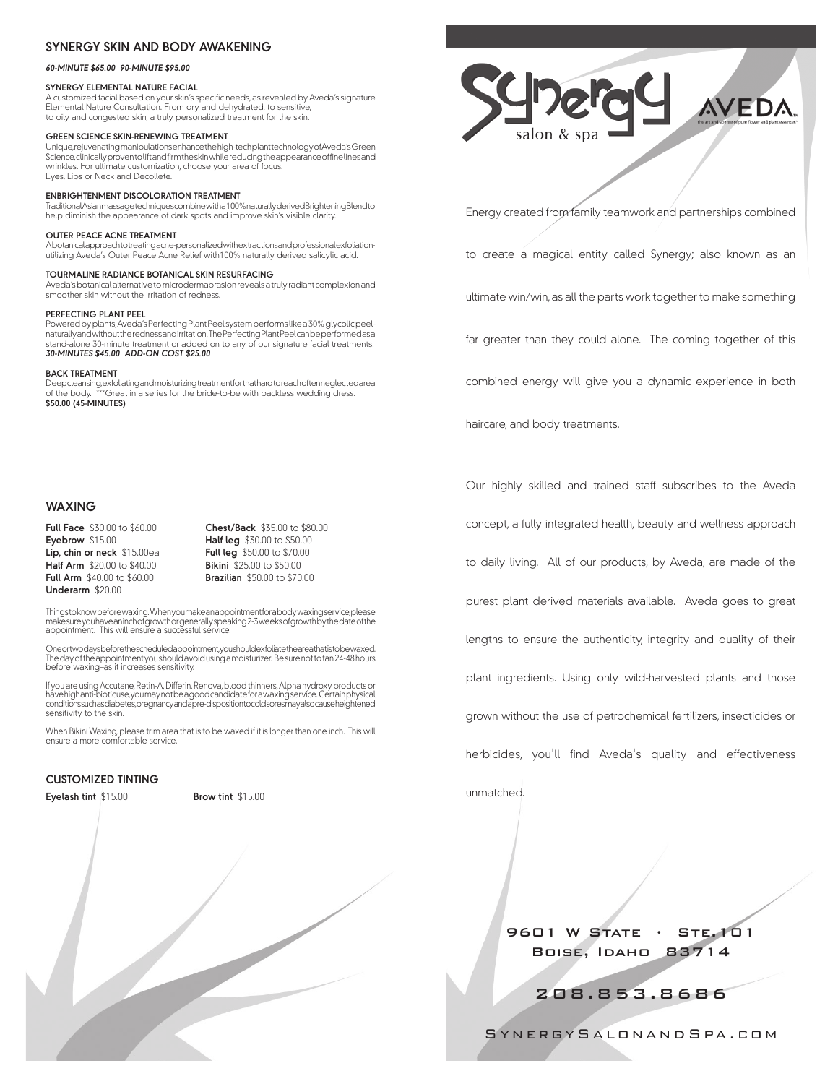## **SYNERGY SKIN AND BODY AWAKENING**

#### *60-minute \$65.00 90-minute \$95.00*

#### **SYNERGY ELEMENTAL NATURE FACIal**

A customized facial based on your skin's specific needs, as revealed by Aveda's signature Elemental Nature Consultation. From dry and dehydrated, to sensitive, to oily and congested skin, a truly personalized treatment for the skin.

#### **GREEN SCIENCE SKIN-RENEWING TREATMENT**

Unique, rejuvenating manipulations enhance the high-tech plant technology of Aveda's Green Science, clinically proven to lift and firm the skin while reducing the appearance of fine lines and wrinkles. For ultimate customization, choose your area of focus: Eyes, Lips or Neck and Decollete.

#### **ENBRIGHTENMENT DISCOLORATION TREATMENT**

Traditional Asian massage techniques combine with a 100% naturally derived Brightening Blend to help diminish the appearance of dark spots and improve skin's visible clarity.

#### **OUTER PEACE ACNE TREATMENT**

A botanical approach to treating acne-personalized with extractions and professional exfoliationutilizing Aveda's Outer Peace Acne Relief with100% naturally derived salicylic acid.

#### **TOURMALINE RADIANCE BOTANICAL SKIN RESURFACING**

Aveda's botanical alternative to microdermabrasion reveals a truly radiant complexion and smoother skin without the irritation of redness.

#### **PERFECTING PLANT PEEL**

Powered by plants, Aveda's Perfecting Plant Peel system performs like a 30% glycolic peelnaturally and without the redness and irritation. The Perfecting Plant Peel can be performed as a stand-alone 30-minute treatment or added on to any of our signature facial treatments. *30-minutes \$45.00 Add-on cost \$25.00*

#### **BACK TREATMENT**

Deep cleansing, exfoliating and moisturizing treatment for that hard to reach often neglected area of the body. \*\*\*Great in a series for the bride-to-be with backless wedding dress. **\$50.00 (45-minutes)**

# **WAXING**

**Full Face** \$30.00 to \$60.00 **Chest/Back** \$35.00 to \$80.00 **Eyebrow** \$15.00 **Half leg** \$30.00 to \$50.00 <br>**Lip, chin or neck** \$15.00ea **Full leg** \$50.00 to \$70.00 **Lip, chin or neck** \$15.00ea **Half Arm** \$20.00 to \$40.00 **Bikini** \$25.00 to \$50.00 **Full Arm** \$40.00 to \$60.00 **Underarm** \$20.00

**Brazilian** \$50.00 to \$70.00

Thingstoknow before waxing. When you make an appointment for a body waxing service, please<br>make sure you have an inchof growth or generally speaking 2-3 weeks of growth by the date of the appointment. This will ensure a successful service.

Oneortwodaysbeforethescheduledappointment,youshouldexfoliatetheareathatistobewaxed.<br>The day of the appointment you should avoid using a moisturizer. Be sure not to tan 24-48 hours before waxing–as it increases sensitivity.

lf you are using Accutane, Retin-A, Differin, Renova, blood thinners, Alpha hydroxy products or<br>havehighanti-bioticuse, youmay notbe a good candidate for a waxing service. Certain physical conditions such as diabetes, pregnancy and a pre-disposition to cold sores may also cause heightened sensitivity to the skin.

When Bikini Waxing, please trim area that is to be waxed if it is longer than one inch. I his will<br>ensure a more comfortable service.

### **CUSTOMIZED TINTING**

| Eyelash tint \$15.00 |  |
|----------------------|--|
|----------------------|--|

**Eyelash tint** \$15.00 **Brow tint** \$15.00



Energy created from family teamwork and partnerships combined

to create a magical entity called Synergy; also known as an

ultimate win/win, as all the parts work together to make something

far greater than they could alone. The coming together of this

combined energy will give you a dynamic experience in both

Our highly skilled and trained staff subscribes to the Aveda

haircare, and body treatments.

concept, a fully integrated health, beauty and wellness approach to daily living. All of our products, by Aveda, are made of the purest plant derived materials available. Aveda goes to great lengths to ensure the authenticity, integrity and quality of their plant ingredients. Using only wild-harvested plants and those

grown without the use of petrochemical fertilizers, insecticides or

herbicides, you'll find Aveda's quality and effectiveness

unmatched.

9601 W STATE · STE. 101 Boise, Idaho 83714

208.853.8686

SynergySalonandSpa.com